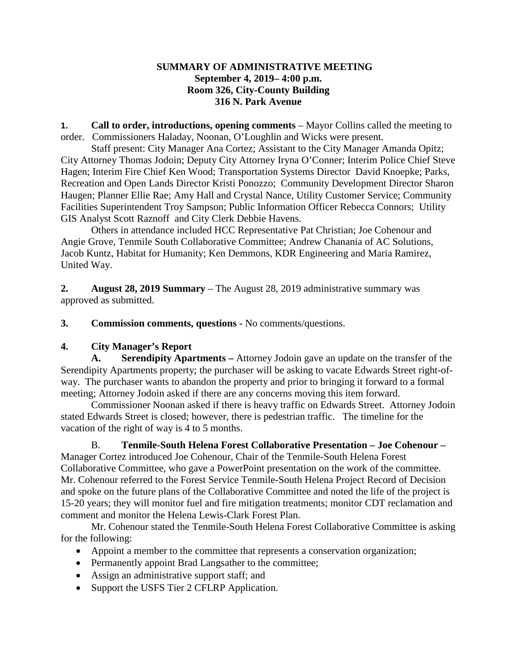## **SUMMARY OF ADMINISTRATIVE MEETING September 4, 2019– 4:00 p.m. Room 326, City-County Building 316 N. Park Avenue**

**1. Call to order, introductions, opening comments** – Mayor Collins called the meeting to order. Commissioners Haladay, Noonan, O'Loughlin and Wicks were present.

Staff present: City Manager Ana Cortez; Assistant to the City Manager Amanda Opitz; City Attorney Thomas Jodoin; Deputy City Attorney Iryna O'Conner; Interim Police Chief Steve Hagen; Interim Fire Chief Ken Wood; Transportation Systems Director David Knoepke; Parks, Recreation and Open Lands Director Kristi Ponozzo; Community Development Director Sharon Haugen; Planner Ellie Rae; Amy Hall and Crystal Nance, Utility Customer Service; Community Facilities Superintendent Troy Sampson; Public Information Officer Rebecca Connors; Utility GIS Analyst Scott Raznoff and City Clerk Debbie Havens.

Others in attendance included HCC Representative Pat Christian; Joe Cohenour and Angie Grove, Tenmile South Collaborative Committee; Andrew Chanania of AC Solutions, Jacob Kuntz, Habitat for Humanity; Ken Demmons, KDR Engineering and Maria Ramirez, United Way.

**2. August 28, 2019 Summary** – The August 28, 2019 administrative summary was approved as submitted.

**3. Commission comments, questions -** No comments/questions.

# **4. City Manager's Report**

**A. Serendipity Apartments –** Attorney Jodoin gave an update on the transfer of the Serendipity Apartments property; the purchaser will be asking to vacate Edwards Street right-ofway. The purchaser wants to abandon the property and prior to bringing it forward to a formal meeting; Attorney Jodoin asked if there are any concerns moving this item forward.

Commissioner Noonan asked if there is heavy traffic on Edwards Street. Attorney Jodoin stated Edwards Street is closed; however, there is pedestrian traffic. The timeline for the vacation of the right of way is 4 to 5 months.

B. **Tenmile-South Helena Forest Collaborative Presentation – Joe Cohenour –** Manager Cortez introduced Joe Cohenour, Chair of the Tenmile-South Helena Forest Collaborative Committee, who gave a PowerPoint presentation on the work of the committee. Mr. Cohenour referred to the Forest Service Tenmile-South Helena Project Record of Decision and spoke on the future plans of the Collaborative Committee and noted the life of the project is 15-20 years; they will monitor fuel and fire mitigation treatments; monitor CDT reclamation and comment and monitor the Helena Lewis-Clark Forest Plan.

Mr. Cohenour stated the Tenmile-South Helena Forest Collaborative Committee is asking for the following:

- Appoint a member to the committee that represents a conservation organization;
- Permanently appoint Brad Langsather to the committee;
- Assign an administrative support staff; and
- Support the USFS Tier 2 CFLRP Application.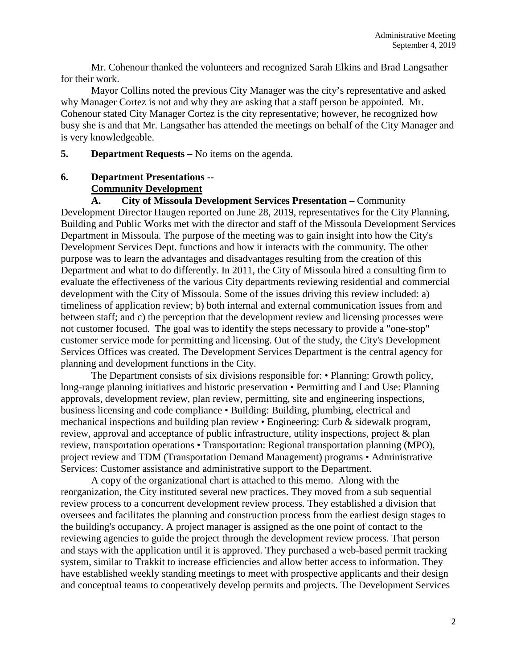Mr. Cohenour thanked the volunteers and recognized Sarah Elkins and Brad Langsather for their work.

Mayor Collins noted the previous City Manager was the city's representative and asked why Manager Cortez is not and why they are asking that a staff person be appointed. Mr. Cohenour stated City Manager Cortez is the city representative; however, he recognized how busy she is and that Mr. Langsather has attended the meetings on behalf of the City Manager and is very knowledgeable.

**5. Department Requests –** No items on the agenda.

# **6. Department Presentations -- Community Development**

**A. City of Missoula Development Services Presentation –** Community Development Director Haugen reported on June 28, 2019, representatives for the City Planning, Building and Public Works met with the director and staff of the Missoula Development Services Department in Missoula. The purpose of the meeting was to gain insight into how the City's Development Services Dept. functions and how it interacts with the community. The other purpose was to learn the advantages and disadvantages resulting from the creation of this Department and what to do differently. In 2011, the City of Missoula hired a consulting firm to evaluate the effectiveness of the various City departments reviewing residential and commercial development with the City of Missoula. Some of the issues driving this review included: a) timeliness of application review; b) both internal and external communication issues from and between staff; and c) the perception that the development review and licensing processes were not customer focused. The goal was to identify the steps necessary to provide a "one-stop" customer service mode for permitting and licensing. Out of the study, the City's Development Services Offices was created. The Development Services Department is the central agency for planning and development functions in the City.

The Department consists of six divisions responsible for: • Planning: Growth policy, long-range planning initiatives and historic preservation • Permitting and Land Use: Planning approvals, development review, plan review, permitting, site and engineering inspections, business licensing and code compliance • Building: Building, plumbing, electrical and mechanical inspections and building plan review • Engineering: Curb & sidewalk program, review, approval and acceptance of public infrastructure, utility inspections, project & plan review, transportation operations • Transportation: Regional transportation planning (MPO), project review and TDM (Transportation Demand Management) programs • Administrative Services: Customer assistance and administrative support to the Department.

A copy of the organizational chart is attached to this memo. Along with the reorganization, the City instituted several new practices. They moved from a sub sequential review process to a concurrent development review process. They established a division that oversees and facilitates the planning and construction process from the earliest design stages to the building's occupancy. A project manager is assigned as the one point of contact to the reviewing agencies to guide the project through the development review process. That person and stays with the application until it is approved. They purchased a web-based permit tracking system, similar to Trakkit to increase efficiencies and allow better access to information. They have established weekly standing meetings to meet with prospective applicants and their design and conceptual teams to cooperatively develop permits and projects. The Development Services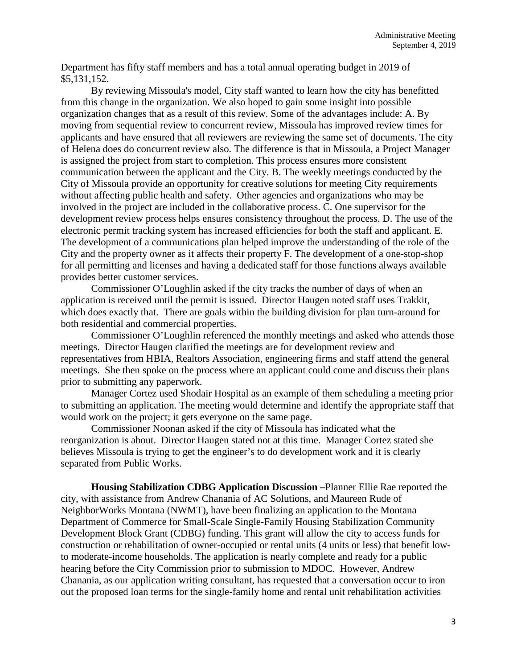Department has fifty staff members and has a total annual operating budget in 2019 of \$5,131,152.

By reviewing Missoula's model, City staff wanted to learn how the city has benefitted from this change in the organization. We also hoped to gain some insight into possible organization changes that as a result of this review. Some of the advantages include: A. By moving from sequential review to concurrent review, Missoula has improved review times for applicants and have ensured that all reviewers are reviewing the same set of documents. The city of Helena does do concurrent review also. The difference is that in Missoula, a Project Manager is assigned the project from start to completion. This process ensures more consistent communication between the applicant and the City. B. The weekly meetings conducted by the City of Missoula provide an opportunity for creative solutions for meeting City requirements without affecting public health and safety. Other agencies and organizations who may be involved in the project are included in the collaborative process. C. One supervisor for the development review process helps ensures consistency throughout the process. D. The use of the electronic permit tracking system has increased efficiencies for both the staff and applicant. E. The development of a communications plan helped improve the understanding of the role of the City and the property owner as it affects their property F. The development of a one-stop-shop for all permitting and licenses and having a dedicated staff for those functions always available provides better customer services.

Commissioner O'Loughlin asked if the city tracks the number of days of when an application is received until the permit is issued. Director Haugen noted staff uses Trakkit, which does exactly that. There are goals within the building division for plan turn-around for both residential and commercial properties.

Commissioner O'Loughlin referenced the monthly meetings and asked who attends those meetings. Director Haugen clarified the meetings are for development review and representatives from HBIA, Realtors Association, engineering firms and staff attend the general meetings. She then spoke on the process where an applicant could come and discuss their plans prior to submitting any paperwork.

Manager Cortez used Shodair Hospital as an example of them scheduling a meeting prior to submitting an application. The meeting would determine and identify the appropriate staff that would work on the project; it gets everyone on the same page.

Commissioner Noonan asked if the city of Missoula has indicated what the reorganization is about. Director Haugen stated not at this time. Manager Cortez stated she believes Missoula is trying to get the engineer's to do development work and it is clearly separated from Public Works.

**Housing Stabilization CDBG Application Discussion –**Planner Ellie Rae reported the city, with assistance from Andrew Chanania of AC Solutions, and Maureen Rude of NeighborWorks Montana (NWMT), have been finalizing an application to the Montana Department of Commerce for Small-Scale Single-Family Housing Stabilization Community Development Block Grant (CDBG) funding. This grant will allow the city to access funds for construction or rehabilitation of owner-occupied or rental units (4 units or less) that benefit lowto moderate-income households. The application is nearly complete and ready for a public hearing before the City Commission prior to submission to MDOC. However, Andrew Chanania, as our application writing consultant, has requested that a conversation occur to iron out the proposed loan terms for the single-family home and rental unit rehabilitation activities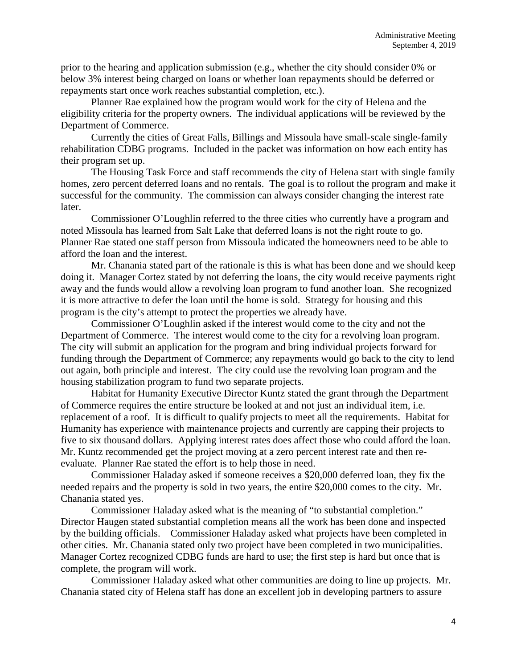prior to the hearing and application submission (e.g., whether the city should consider 0% or below 3% interest being charged on loans or whether loan repayments should be deferred or repayments start once work reaches substantial completion, etc.).

Planner Rae explained how the program would work for the city of Helena and the eligibility criteria for the property owners. The individual applications will be reviewed by the Department of Commerce.

Currently the cities of Great Falls, Billings and Missoula have small-scale single-family rehabilitation CDBG programs. Included in the packet was information on how each entity has their program set up.

The Housing Task Force and staff recommends the city of Helena start with single family homes, zero percent deferred loans and no rentals. The goal is to rollout the program and make it successful for the community. The commission can always consider changing the interest rate later.

Commissioner O'Loughlin referred to the three cities who currently have a program and noted Missoula has learned from Salt Lake that deferred loans is not the right route to go. Planner Rae stated one staff person from Missoula indicated the homeowners need to be able to afford the loan and the interest.

Mr. Chanania stated part of the rationale is this is what has been done and we should keep doing it. Manager Cortez stated by not deferring the loans, the city would receive payments right away and the funds would allow a revolving loan program to fund another loan. She recognized it is more attractive to defer the loan until the home is sold. Strategy for housing and this program is the city's attempt to protect the properties we already have.

Commissioner O'Loughlin asked if the interest would come to the city and not the Department of Commerce. The interest would come to the city for a revolving loan program. The city will submit an application for the program and bring individual projects forward for funding through the Department of Commerce; any repayments would go back to the city to lend out again, both principle and interest. The city could use the revolving loan program and the housing stabilization program to fund two separate projects.

Habitat for Humanity Executive Director Kuntz stated the grant through the Department of Commerce requires the entire structure be looked at and not just an individual item, i.e. replacement of a roof. It is difficult to qualify projects to meet all the requirements. Habitat for Humanity has experience with maintenance projects and currently are capping their projects to five to six thousand dollars. Applying interest rates does affect those who could afford the loan. Mr. Kuntz recommended get the project moving at a zero percent interest rate and then reevaluate. Planner Rae stated the effort is to help those in need.

Commissioner Haladay asked if someone receives a \$20,000 deferred loan, they fix the needed repairs and the property is sold in two years, the entire \$20,000 comes to the city. Mr. Chanania stated yes.

Commissioner Haladay asked what is the meaning of "to substantial completion." Director Haugen stated substantial completion means all the work has been done and inspected by the building officials. Commissioner Haladay asked what projects have been completed in other cities. Mr. Chanania stated only two project have been completed in two municipalities. Manager Cortez recognized CDBG funds are hard to use; the first step is hard but once that is complete, the program will work.

Commissioner Haladay asked what other communities are doing to line up projects. Mr. Chanania stated city of Helena staff has done an excellent job in developing partners to assure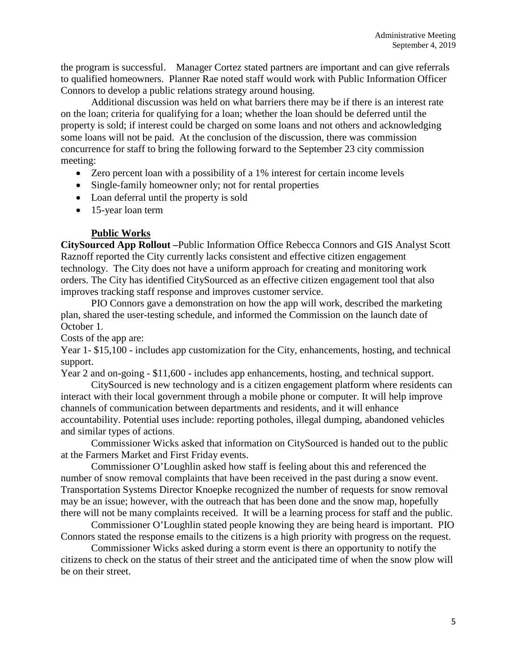the program is successful. Manager Cortez stated partners are important and can give referrals to qualified homeowners. Planner Rae noted staff would work with Public Information Officer Connors to develop a public relations strategy around housing.

Additional discussion was held on what barriers there may be if there is an interest rate on the loan; criteria for qualifying for a loan; whether the loan should be deferred until the property is sold; if interest could be charged on some loans and not others and acknowledging some loans will not be paid. At the conclusion of the discussion, there was commission concurrence for staff to bring the following forward to the September 23 city commission meeting:

- Zero percent loan with a possibility of a 1% interest for certain income levels
- Single-family homeowner only; not for rental properties
- Loan deferral until the property is sold
- 15-year loan term

### **Public Works**

**CitySourced App Rollout –**Public Information Office Rebecca Connors and GIS Analyst Scott Raznoff reported the City currently lacks consistent and effective citizen engagement technology. The City does not have a uniform approach for creating and monitoring work orders. The City has identified CitySourced as an effective citizen engagement tool that also improves tracking staff response and improves customer service.

PIO Connors gave a demonstration on how the app will work, described the marketing plan, shared the user-testing schedule, and informed the Commission on the launch date of October 1.

Costs of the app are:

Year 1- \$15,100 - includes app customization for the City, enhancements, hosting, and technical support.

Year 2 and on-going - \$11,600 - includes app enhancements, hosting, and technical support.

CitySourced is new technology and is a citizen engagement platform where residents can interact with their local government through a mobile phone or computer. It will help improve channels of communication between departments and residents, and it will enhance accountability. Potential uses include: reporting potholes, illegal dumping, abandoned vehicles and similar types of actions.

Commissioner Wicks asked that information on CitySourced is handed out to the public at the Farmers Market and First Friday events.

Commissioner O'Loughlin asked how staff is feeling about this and referenced the number of snow removal complaints that have been received in the past during a snow event. Transportation Systems Director Knoepke recognized the number of requests for snow removal may be an issue; however, with the outreach that has been done and the snow map, hopefully there will not be many complaints received. It will be a learning process for staff and the public.

Commissioner O'Loughlin stated people knowing they are being heard is important. PIO Connors stated the response emails to the citizens is a high priority with progress on the request.

Commissioner Wicks asked during a storm event is there an opportunity to notify the citizens to check on the status of their street and the anticipated time of when the snow plow will be on their street.